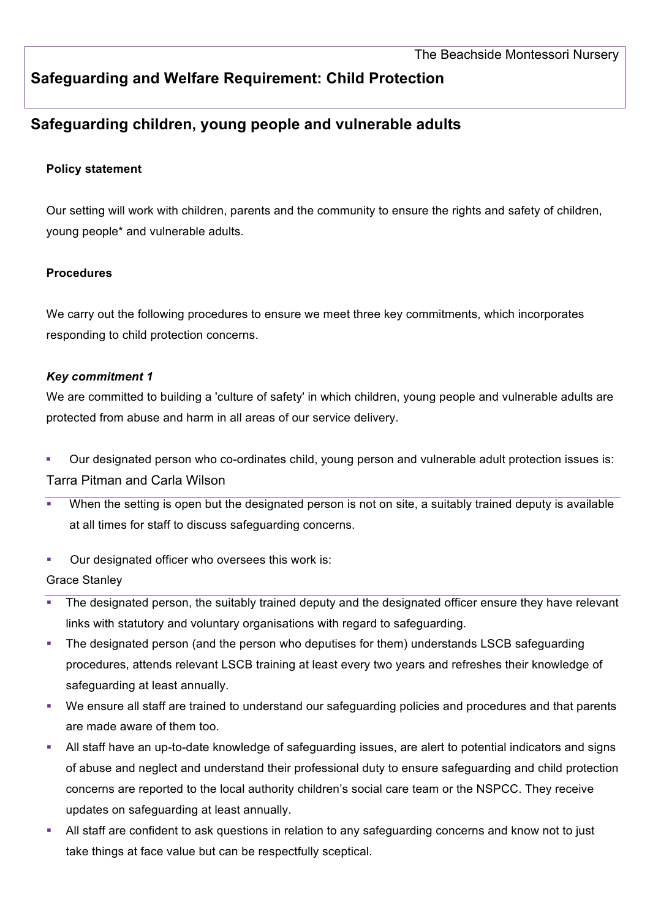# **Safeguarding and Welfare Requirement: Child Protection**

# **Safeguarding children, young people and vulnerable adults**

### **Policy statement**

Our setting will work with children, parents and the community to ensure the rights and safety of children, young people\* and vulnerable adults.

### **Procedures**

We carry out the following procedures to ensure we meet three key commitments, which incorporates responding to child protection concerns.

### *Key commitment 1*

We are committed to building a 'culture of safety' in which children, young people and vulnerable adults are protected from abuse and harm in all areas of our service delivery.

- § Our designated person who co-ordinates child, young person and vulnerable adult protection issues is: Tarra Pitman and Carla Wilson
- When the setting is open but the designated person is not on site, a suitably trained deputy is available at all times for staff to discuss safeguarding concerns.
- Our designated officer who oversees this work is:

# Grace Stanley

- The designated person, the suitably trained deputy and the designated officer ensure they have relevant links with statutory and voluntary organisations with regard to safeguarding.
- The designated person (and the person who deputises for them) understands LSCB safeguarding procedures, attends relevant LSCB training at least every two years and refreshes their knowledge of safeguarding at least annually.
- We ensure all staff are trained to understand our safeguarding policies and procedures and that parents are made aware of them too.
- § All staff have an up-to-date knowledge of safeguarding issues, are alert to potential indicators and signs of abuse and neglect and understand their professional duty to ensure safeguarding and child protection concerns are reported to the local authority children's social care team or the NSPCC. They receive updates on safeguarding at least annually.
- § All staff are confident to ask questions in relation to any safeguarding concerns and know not to just take things at face value but can be respectfully sceptical.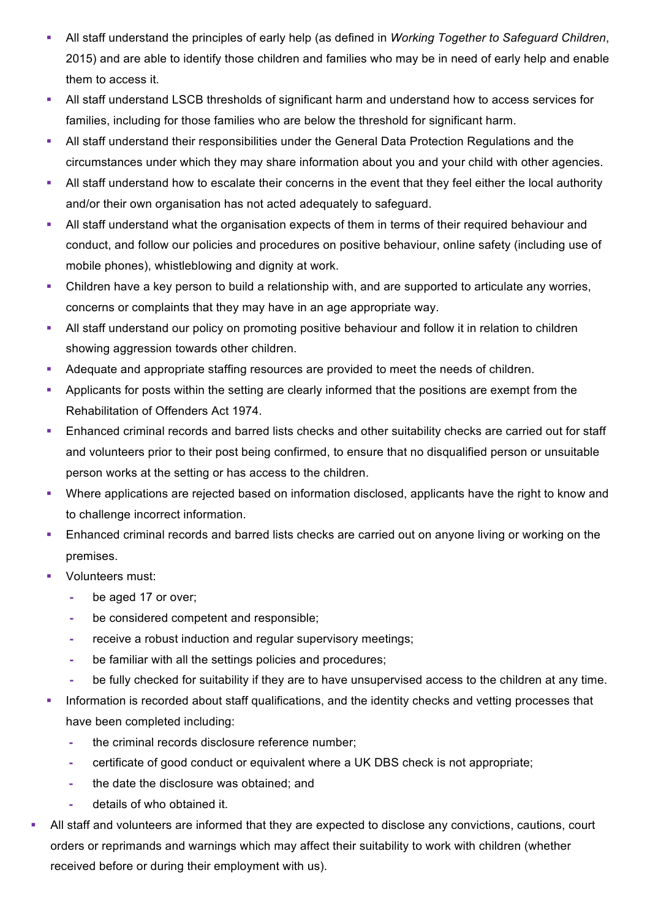- § All staff understand the principles of early help (as defined in *Working Together to Safeguard Children*, 2015) and are able to identify those children and families who may be in need of early help and enable them to access it.
- All staff understand LSCB thresholds of significant harm and understand how to access services for families, including for those families who are below the threshold for significant harm.
- **All staff understand their responsibilities under the General Data Protection Regulations and the** circumstances under which they may share information about you and your child with other agencies.
- All staff understand how to escalate their concerns in the event that they feel either the local authority and/or their own organisation has not acted adequately to safeguard.
- All staff understand what the organisation expects of them in terms of their required behaviour and conduct, and follow our policies and procedures on positive behaviour, online safety (including use of mobile phones), whistleblowing and dignity at work.
- Children have a key person to build a relationship with, and are supported to articulate any worries, concerns or complaints that they may have in an age appropriate way.
- All staff understand our policy on promoting positive behaviour and follow it in relation to children showing aggression towards other children.
- **Adequate and appropriate staffing resources are provided to meet the needs of children.**
- § Applicants for posts within the setting are clearly informed that the positions are exempt from the Rehabilitation of Offenders Act 1974.
- **Enhanced criminal records and barred lists checks and other suitability checks are carried out for staff** and volunteers prior to their post being confirmed, to ensure that no disqualified person or unsuitable person works at the setting or has access to the children.
- Where applications are rejected based on information disclosed, applicants have the right to know and to challenge incorrect information.
- **Enhanced criminal records and barred lists checks are carried out on anyone living or working on the** premises.
- Volunteers must:
	- **-** be aged 17 or over;
	- **-** be considered competent and responsible;
	- **-** receive a robust induction and regular supervisory meetings;
	- **-** be familiar with all the settings policies and procedures;
	- **-** be fully checked for suitability if they are to have unsupervised access to the children at any time.
- Information is recorded about staff qualifications, and the identity checks and vetting processes that have been completed including:
	- **-** the criminal records disclosure reference number;
	- **-** certificate of good conduct or equivalent where a UK DBS check is not appropriate;
	- **-** the date the disclosure was obtained; and
	- **-** details of who obtained it.
- All staff and volunteers are informed that they are expected to disclose any convictions, cautions, court orders or reprimands and warnings which may affect their suitability to work with children (whether received before or during their employment with us).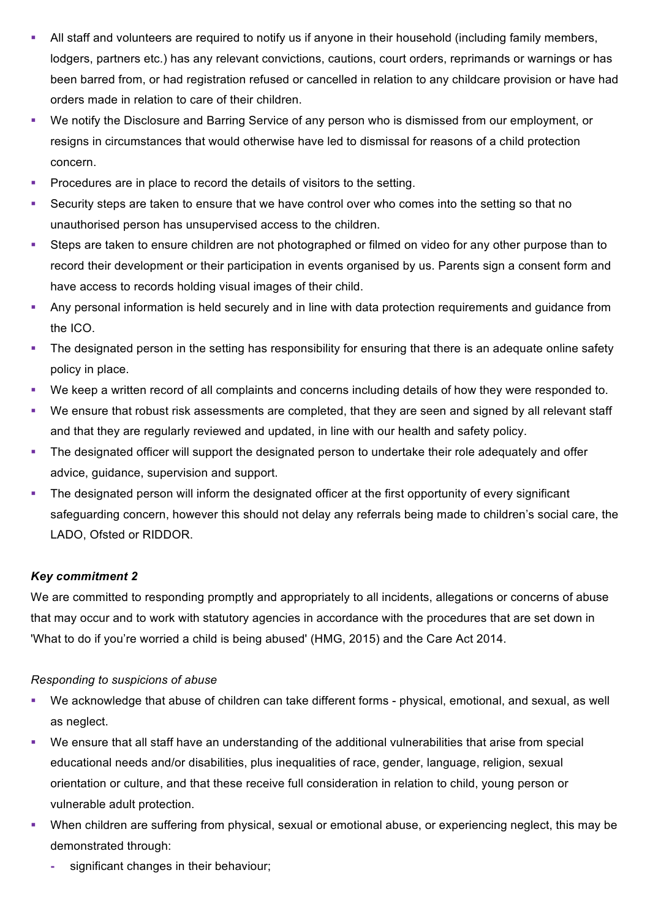- All staff and volunteers are required to notify us if anyone in their household (including family members, lodgers, partners etc.) has any relevant convictions, cautions, court orders, reprimands or warnings or has been barred from, or had registration refused or cancelled in relation to any childcare provision or have had orders made in relation to care of their children.
- § We notify the Disclosure and Barring Service of any person who is dismissed from our employment, or resigns in circumstances that would otherwise have led to dismissal for reasons of a child protection concern.
- § Procedures are in place to record the details of visitors to the setting.
- Security steps are taken to ensure that we have control over who comes into the setting so that no unauthorised person has unsupervised access to the children.
- Steps are taken to ensure children are not photographed or filmed on video for any other purpose than to record their development or their participation in events organised by us. Parents sign a consent form and have access to records holding visual images of their child.
- § Any personal information is held securely and in line with data protection requirements and guidance from the ICO.
- The designated person in the setting has responsibility for ensuring that there is an adequate online safety policy in place.
- We keep a written record of all complaints and concerns including details of how they were responded to.
- We ensure that robust risk assessments are completed, that they are seen and signed by all relevant staff and that they are regularly reviewed and updated, in line with our health and safety policy.
- The designated officer will support the designated person to undertake their role adequately and offer advice, guidance, supervision and support.
- The designated person will inform the designated officer at the first opportunity of every significant safeguarding concern, however this should not delay any referrals being made to children's social care, the LADO, Ofsted or RIDDOR.

# *Key commitment 2*

We are committed to responding promptly and appropriately to all incidents, allegations or concerns of abuse that may occur and to work with statutory agencies in accordance with the procedures that are set down in 'What to do if you're worried a child is being abused' (HMG, 2015) and the Care Act 2014.

# *Responding to suspicions of abuse*

- § We acknowledge that abuse of children can take different forms physical, emotional, and sexual, as well as neglect.
- We ensure that all staff have an understanding of the additional vulnerabilities that arise from special educational needs and/or disabilities, plus inequalities of race, gender, language, religion, sexual orientation or culture, and that these receive full consideration in relation to child, young person or vulnerable adult protection.
- § When children are suffering from physical, sexual or emotional abuse, or experiencing neglect, this may be demonstrated through:
	- **-** significant changes in their behaviour;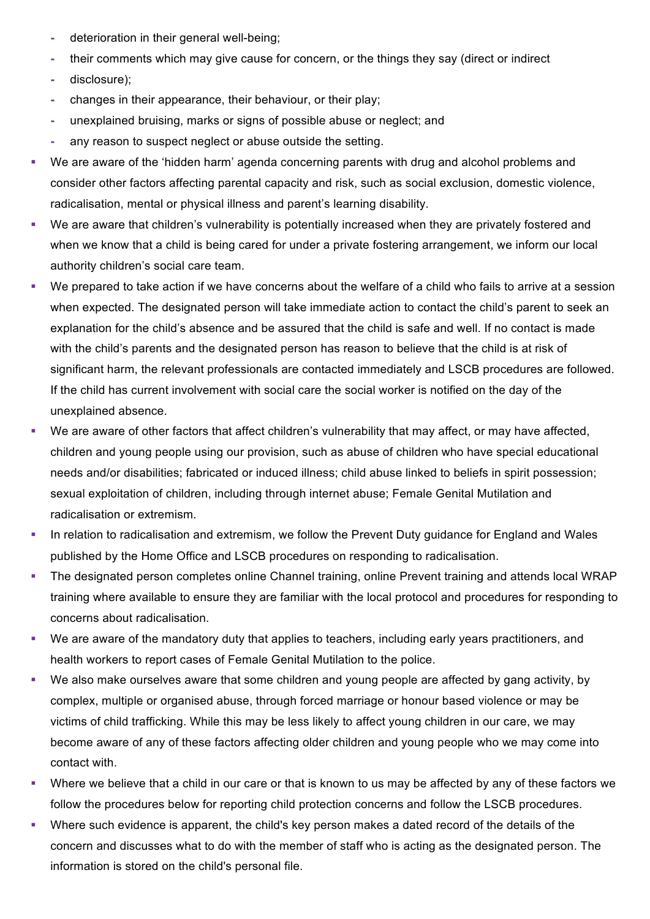- **-** deterioration in their general well-being;
- **-** their comments which may give cause for concern, or the things they say (direct or indirect
- **-** disclosure);
- **-** changes in their appearance, their behaviour, or their play;
- **-** unexplained bruising, marks or signs of possible abuse or neglect; and
- **-** any reason to suspect neglect or abuse outside the setting.
- § We are aware of the 'hidden harm' agenda concerning parents with drug and alcohol problems and consider other factors affecting parental capacity and risk, such as social exclusion, domestic violence, radicalisation, mental or physical illness and parent's learning disability.
- We are aware that children's vulnerability is potentially increased when they are privately fostered and when we know that a child is being cared for under a private fostering arrangement, we inform our local authority children's social care team.
- We prepared to take action if we have concerns about the welfare of a child who fails to arrive at a session when expected. The designated person will take immediate action to contact the child's parent to seek an explanation for the child's absence and be assured that the child is safe and well. If no contact is made with the child's parents and the designated person has reason to believe that the child is at risk of significant harm, the relevant professionals are contacted immediately and LSCB procedures are followed. If the child has current involvement with social care the social worker is notified on the day of the unexplained absence.
- We are aware of other factors that affect children's vulnerability that may affect, or may have affected, children and young people using our provision, such as abuse of children who have special educational needs and/or disabilities; fabricated or induced illness; child abuse linked to beliefs in spirit possession; sexual exploitation of children, including through internet abuse; Female Genital Mutilation and radicalisation or extremism.
- In relation to radicalisation and extremism, we follow the Prevent Duty guidance for England and Wales published by the Home Office and LSCB procedures on responding to radicalisation.
- The designated person completes online Channel training, online Prevent training and attends local WRAP training where available to ensure they are familiar with the local protocol and procedures for responding to concerns about radicalisation.
- We are aware of the mandatory duty that applies to teachers, including early years practitioners, and health workers to report cases of Female Genital Mutilation to the police.
- § We also make ourselves aware that some children and young people are affected by gang activity, by complex, multiple or organised abuse, through forced marriage or honour based violence or may be victims of child trafficking. While this may be less likely to affect young children in our care, we may become aware of any of these factors affecting older children and young people who we may come into contact with.
- Where we believe that a child in our care or that is known to us may be affected by any of these factors we follow the procedures below for reporting child protection concerns and follow the LSCB procedures.
- § Where such evidence is apparent, the child's key person makes a dated record of the details of the concern and discusses what to do with the member of staff who is acting as the designated person. The information is stored on the child's personal file.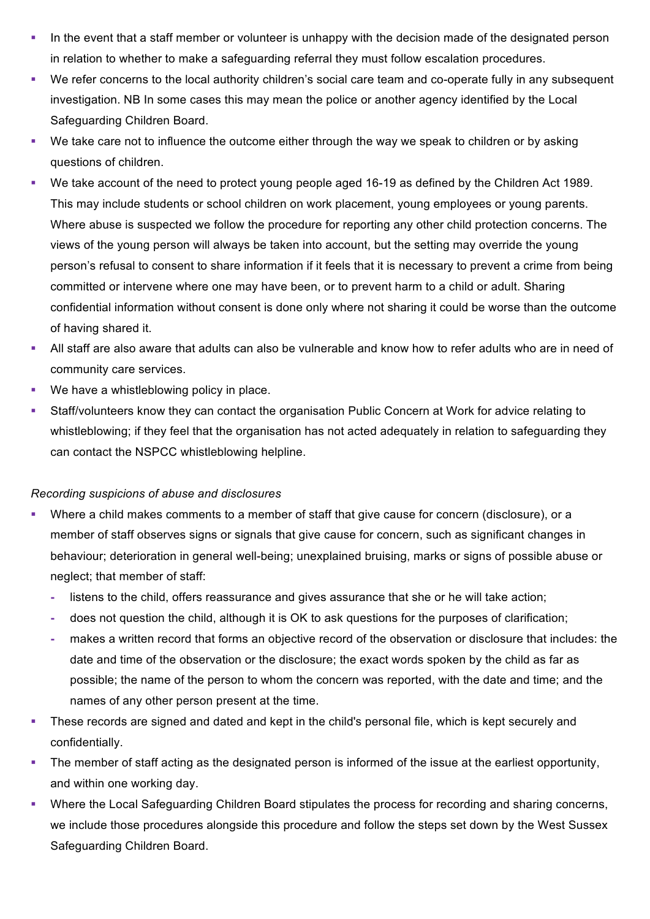- In the event that a staff member or volunteer is unhappy with the decision made of the designated person in relation to whether to make a safeguarding referral they must follow escalation procedures.
- § We refer concerns to the local authority children's social care team and co-operate fully in any subsequent investigation. NB In some cases this may mean the police or another agency identified by the Local Safeguarding Children Board.
- We take care not to influence the outcome either through the way we speak to children or by asking questions of children.
- § We take account of the need to protect young people aged 16-19 as defined by the Children Act 1989. This may include students or school children on work placement, young employees or young parents. Where abuse is suspected we follow the procedure for reporting any other child protection concerns. The views of the young person will always be taken into account, but the setting may override the young person's refusal to consent to share information if it feels that it is necessary to prevent a crime from being committed or intervene where one may have been, or to prevent harm to a child or adult. Sharing confidential information without consent is done only where not sharing it could be worse than the outcome of having shared it.
- All staff are also aware that adults can also be vulnerable and know how to refer adults who are in need of community care services.
- We have a whistleblowing policy in place.
- § Staff/volunteers know they can contact the organisation Public Concern at Work for advice relating to whistleblowing; if they feel that the organisation has not acted adequately in relation to safeguarding they can contact the NSPCC whistleblowing helpline.

### *Recording suspicions of abuse and disclosures*

- Where a child makes comments to a member of staff that give cause for concern (disclosure), or a member of staff observes signs or signals that give cause for concern, such as significant changes in behaviour; deterioration in general well-being; unexplained bruising, marks or signs of possible abuse or neglect; that member of staff:
	- **-** listens to the child, offers reassurance and gives assurance that she or he will take action;
	- **-** does not question the child, although it is OK to ask questions for the purposes of clarification;
	- **-** makes a written record that forms an objective record of the observation or disclosure that includes: the date and time of the observation or the disclosure; the exact words spoken by the child as far as possible; the name of the person to whom the concern was reported, with the date and time; and the names of any other person present at the time.
- These records are signed and dated and kept in the child's personal file, which is kept securely and confidentially.
- The member of staff acting as the designated person is informed of the issue at the earliest opportunity, and within one working day.
- Where the Local Safeguarding Children Board stipulates the process for recording and sharing concerns, we include those procedures alongside this procedure and follow the steps set down by the West Sussex Safeguarding Children Board.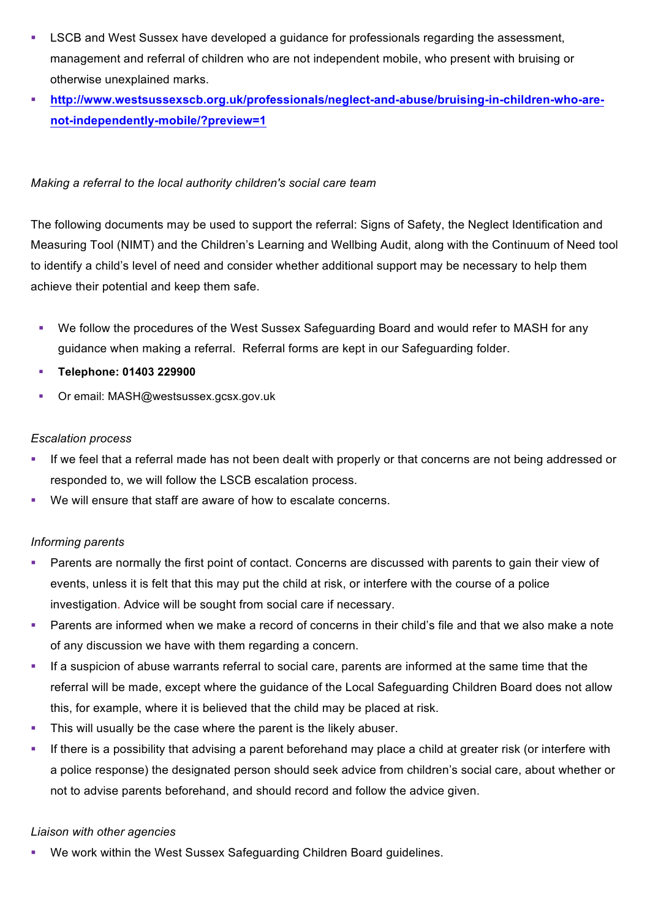- LSCB and West Sussex have developed a guidance for professionals regarding the assessment, management and referral of children who are not independent mobile, who present with bruising or otherwise unexplained marks.
- § **http://www.westsussexscb.org.uk/professionals/neglect-and-abuse/bruising-in-children-who-arenot-independently-mobile/?preview=1**

## *Making a referral to the local authority children's social care team*

The following documents may be used to support the referral: Signs of Safety, the Neglect Identification and Measuring Tool (NIMT) and the Children's Learning and Wellbing Audit, along with the Continuum of Need tool to identify a child's level of need and consider whether additional support may be necessary to help them achieve their potential and keep them safe.

- We follow the procedures of the West Sussex Safeguarding Board and would refer to MASH for any guidance when making a referral. Referral forms are kept in our Safeguarding folder.
- § **Telephone: 01403 229900**
- Or email: MASH@westsussex.gcsx.gov.uk

# *Escalation process*

- If we feel that a referral made has not been dealt with properly or that concerns are not being addressed or responded to, we will follow the LSCB escalation process.
- We will ensure that staff are aware of how to escalate concerns.

# *Informing parents*

- Parents are normally the first point of contact. Concerns are discussed with parents to gain their view of events, unless it is felt that this may put the child at risk, or interfere with the course of a police investigation. Advice will be sought from social care if necessary.
- Parents are informed when we make a record of concerns in their child's file and that we also make a note of any discussion we have with them regarding a concern.
- If a suspicion of abuse warrants referral to social care, parents are informed at the same time that the referral will be made, except where the guidance of the Local Safeguarding Children Board does not allow this, for example, where it is believed that the child may be placed at risk.
- This will usually be the case where the parent is the likely abuser.
- § If there is a possibility that advising a parent beforehand may place a child at greater risk (or interfere with a police response) the designated person should seek advice from children's social care, about whether or not to advise parents beforehand, and should record and follow the advice given.

### *Liaison with other agencies*

We work within the West Sussex Safeguarding Children Board guidelines.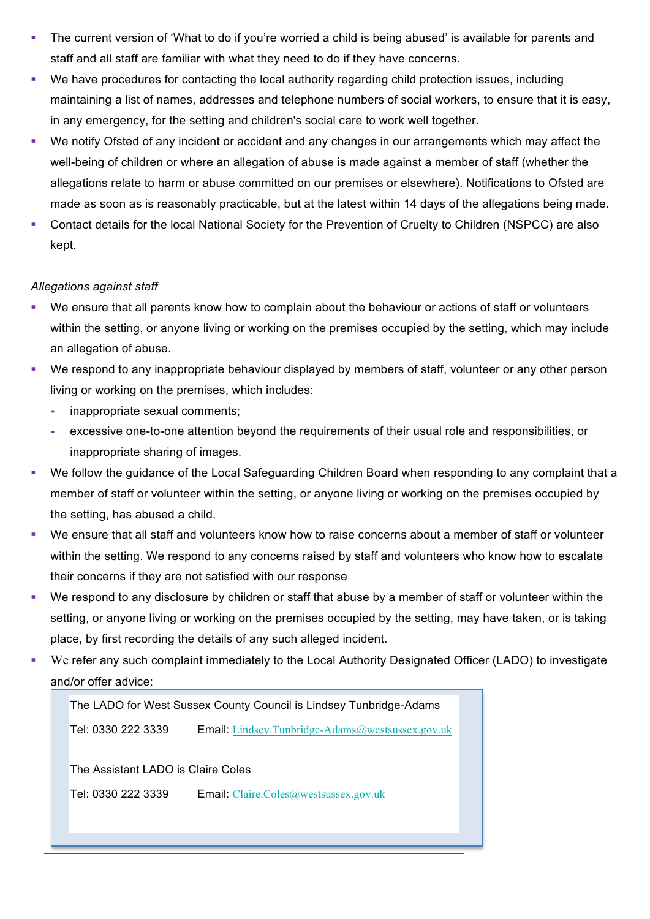- The current version of 'What to do if you're worried a child is being abused' is available for parents and staff and all staff are familiar with what they need to do if they have concerns.
- We have procedures for contacting the local authority regarding child protection issues, including maintaining a list of names, addresses and telephone numbers of social workers, to ensure that it is easy, in any emergency, for the setting and children's social care to work well together.
- We notify Ofsted of any incident or accident and any changes in our arrangements which may affect the well-being of children or where an allegation of abuse is made against a member of staff (whether the allegations relate to harm or abuse committed on our premises or elsewhere). Notifications to Ofsted are made as soon as is reasonably practicable, but at the latest within 14 days of the allegations being made.
- § Contact details for the local National Society for the Prevention of Cruelty to Children (NSPCC) are also kept.

# *Allegations against staff*

- We ensure that all parents know how to complain about the behaviour or actions of staff or volunteers within the setting, or anyone living or working on the premises occupied by the setting, which may include an allegation of abuse.
- We respond to any inappropriate behaviour displayed by members of staff, volunteer or any other person living or working on the premises, which includes:
	- **-** inappropriate sexual comments;
	- **-** excessive one-to-one attention beyond the requirements of their usual role and responsibilities, or inappropriate sharing of images.
- We follow the guidance of the Local Safeguarding Children Board when responding to any complaint that a member of staff or volunteer within the setting, or anyone living or working on the premises occupied by the setting, has abused a child.
- § We ensure that all staff and volunteers know how to raise concerns about a member of staff or volunteer within the setting. We respond to any concerns raised by staff and volunteers who know how to escalate their concerns if they are not satisfied with our response
- § We respond to any disclosure by children or staff that abuse by a member of staff or volunteer within the setting, or anyone living or working on the premises occupied by the setting, may have taken, or is taking place, by first recording the details of any such alleged incident.
- We refer any such complaint immediately to the Local Authority Designated Officer (LADO) to investigate and/or offer advice:

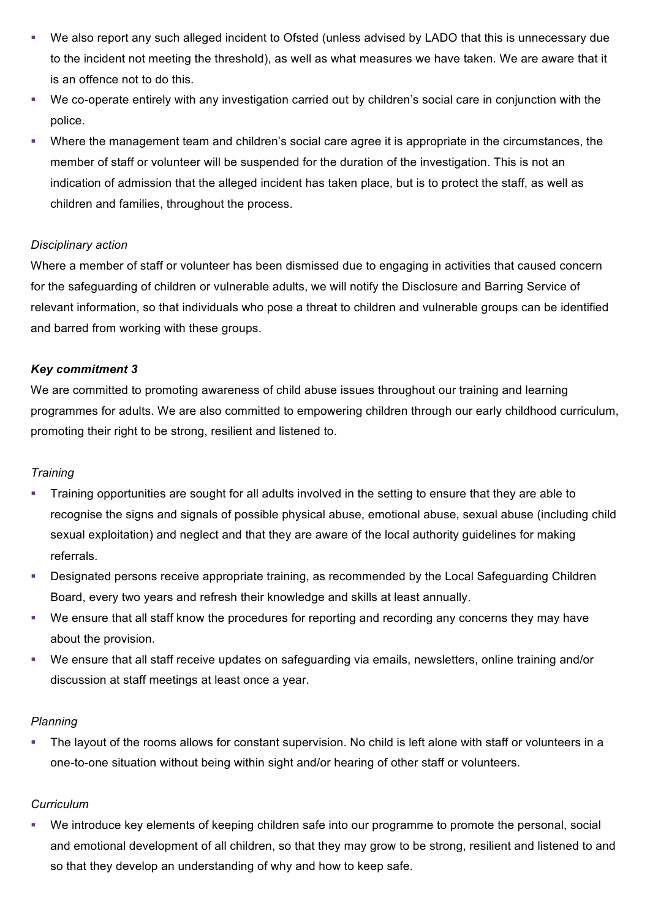- We also report any such alleged incident to Ofsted (unless advised by LADO that this is unnecessary due to the incident not meeting the threshold), as well as what measures we have taken. We are aware that it is an offence not to do this.
- § We co-operate entirely with any investigation carried out by children's social care in conjunction with the police.
- Where the management team and children's social care agree it is appropriate in the circumstances, the member of staff or volunteer will be suspended for the duration of the investigation. This is not an indication of admission that the alleged incident has taken place, but is to protect the staff, as well as children and families, throughout the process.

# *Disciplinary action*

Where a member of staff or volunteer has been dismissed due to engaging in activities that caused concern for the safeguarding of children or vulnerable adults, we will notify the Disclosure and Barring Service of relevant information, so that individuals who pose a threat to children and vulnerable groups can be identified and barred from working with these groups.

# *Key commitment 3*

We are committed to promoting awareness of child abuse issues throughout our training and learning programmes for adults. We are also committed to empowering children through our early childhood curriculum, promoting their right to be strong, resilient and listened to.

# *Training*

- § Training opportunities are sought for all adults involved in the setting to ensure that they are able to recognise the signs and signals of possible physical abuse, emotional abuse, sexual abuse (including child sexual exploitation) and neglect and that they are aware of the local authority guidelines for making referrals.
- Designated persons receive appropriate training, as recommended by the Local Safeguarding Children Board, every two years and refresh their knowledge and skills at least annually.
- § We ensure that all staff know the procedures for reporting and recording any concerns they may have about the provision.
- § We ensure that all staff receive updates on safeguarding via emails, newsletters, online training and/or discussion at staff meetings at least once a year.

# *Planning*

• The layout of the rooms allows for constant supervision. No child is left alone with staff or volunteers in a one-to-one situation without being within sight and/or hearing of other staff or volunteers.

# *Curriculum*

We introduce key elements of keeping children safe into our programme to promote the personal, social and emotional development of all children, so that they may grow to be strong, resilient and listened to and so that they develop an understanding of why and how to keep safe.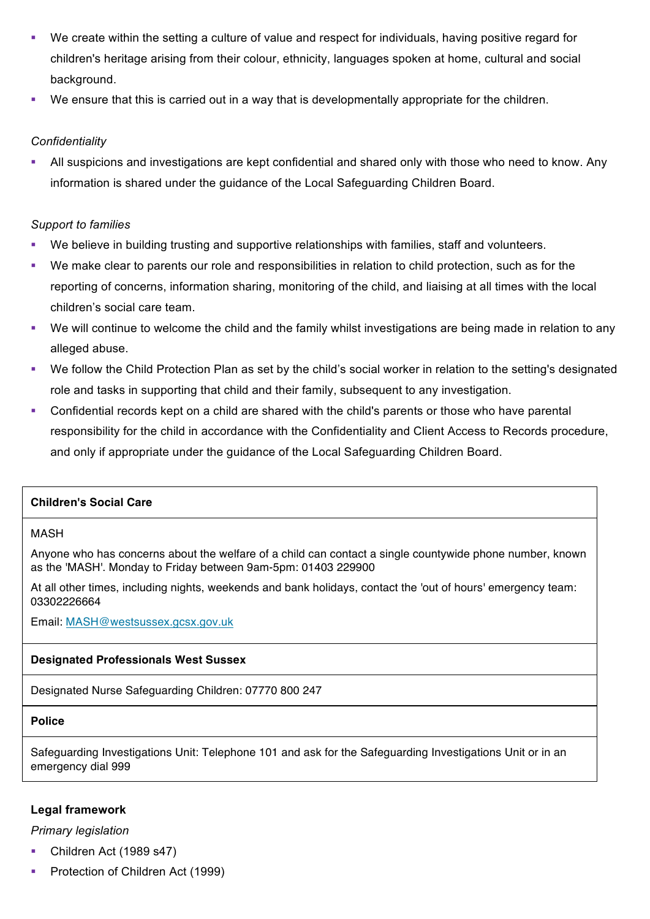- We create within the setting a culture of value and respect for individuals, having positive regard for children's heritage arising from their colour, ethnicity, languages spoken at home, cultural and social background.
- We ensure that this is carried out in a way that is developmentally appropriate for the children.

## *Confidentiality*

§ All suspicions and investigations are kept confidential and shared only with those who need to know. Any information is shared under the guidance of the Local Safeguarding Children Board.

### *Support to families*

- We believe in building trusting and supportive relationships with families, staff and volunteers.
- § We make clear to parents our role and responsibilities in relation to child protection, such as for the reporting of concerns, information sharing, monitoring of the child, and liaising at all times with the local children's social care team.
- We will continue to welcome the child and the family whilst investigations are being made in relation to any alleged abuse.
- We follow the Child Protection Plan as set by the child's social worker in relation to the setting's designated role and tasks in supporting that child and their family, subsequent to any investigation.
- Confidential records kept on a child are shared with the child's parents or those who have parental responsibility for the child in accordance with the Confidentiality and Client Access to Records procedure, and only if appropriate under the guidance of the Local Safeguarding Children Board.

### **Children's Social Care**

#### MASH

Anyone who has concerns about the welfare of a child can contact a single countywide phone number, known as the 'MASH'. Monday to Friday between 9am-5pm: 01403 229900

At all other times, including nights, weekends and bank holidays, contact the 'out of hours' emergency team: 03302226664

Email: MASH@westsussex.gcsx.gov.uk

### **Designated Professionals West Sussex**

Designated Nurse Safeguarding Children: 07770 800 247

### **Police**

Safeguarding Investigations Unit: Telephone 101 and ask for the Safeguarding Investigations Unit or in an emergency dial 999

### **Legal framework**

### *Primary legislation*

- § Children Act (1989 s47)
- § Protection of Children Act (1999)